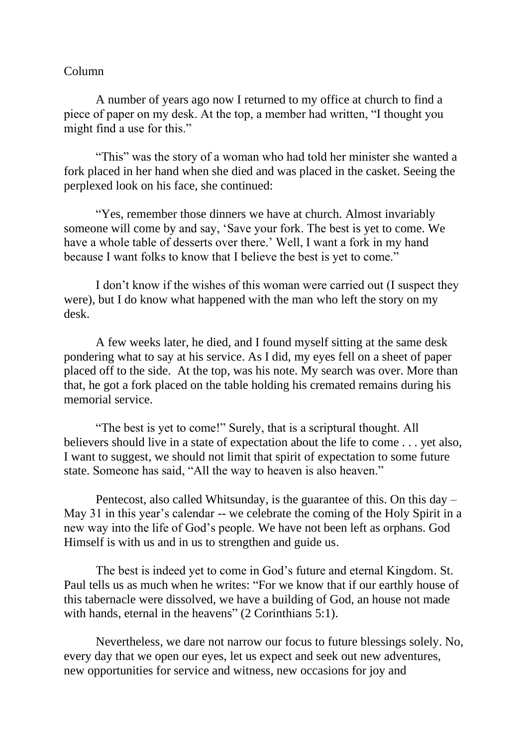## Column

A number of years ago now I returned to my office at church to find a piece of paper on my desk. At the top, a member had written, "I thought you might find a use for this."

"This" was the story of a woman who had told her minister she wanted a fork placed in her hand when she died and was placed in the casket. Seeing the perplexed look on his face, she continued:

"Yes, remember those dinners we have at church. Almost invariably someone will come by and say, 'Save your fork. The best is yet to come. We have a whole table of desserts over there.' Well, I want a fork in my hand because I want folks to know that I believe the best is yet to come."

I don't know if the wishes of this woman were carried out (I suspect they were), but I do know what happened with the man who left the story on my desk.

A few weeks later, he died, and I found myself sitting at the same desk pondering what to say at his service. As I did, my eyes fell on a sheet of paper placed off to the side. At the top, was his note. My search was over. More than that, he got a fork placed on the table holding his cremated remains during his memorial service.

"The best is yet to come!" Surely, that is a scriptural thought. All believers should live in a state of expectation about the life to come . . . yet also, I want to suggest, we should not limit that spirit of expectation to some future state. Someone has said, "All the way to heaven is also heaven."

Pentecost, also called Whitsunday, is the guarantee of this. On this day – May 31 in this year's calendar -- we celebrate the coming of the Holy Spirit in a new way into the life of God's people. We have not been left as orphans. God Himself is with us and in us to strengthen and guide us.

The best is indeed yet to come in God's future and eternal Kingdom. St. Paul tells us as much when he writes: "For we know that if our earthly house of this tabernacle were dissolved, we have a building of God, an house not made with hands, eternal in the heavens" (2 Corinthians 5:1).

Nevertheless, we dare not narrow our focus to future blessings solely. No, every day that we open our eyes, let us expect and seek out new adventures, new opportunities for service and witness, new occasions for joy and